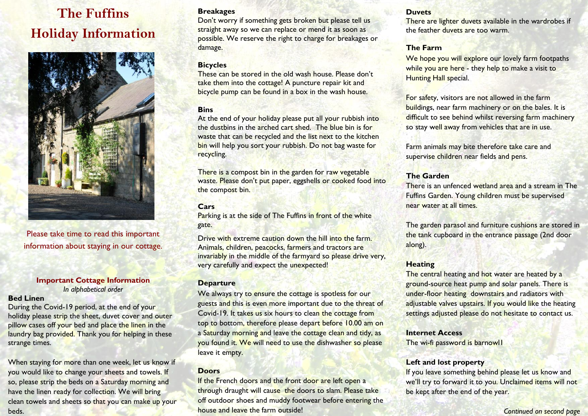# **The Fuffins Holiday Information**



Please take time to read this important information about staying in our cottage.

#### **Important Cottage Information**  *In alphabetical order*

#### **Bed Linen**

During the Covid-19 period, at the end of your holiday please strip the sheet, duvet cover and outer pillow cases off your bed and place the linen in the laundry bag provided. Thank you for helping in these strange times.

When staying for more than one week, let us know if you would like to change your sheets and towels. If so, please strip the beds on a Saturday morning and have the linen ready for collection. We will bring clean towels and sheets so that you can make up your beds.

#### **Breakages**

Don't worry if something gets broken but please tell us straight away so we can replace or mend it as soon as possible. We reserve the right to charge for breakages or damage.

# **Bicycles**

These can be stored in the old wash house. Please don't take them into the cottage! A puncture repair kit and bicycle pump can be found in a box in the wash house.

# **Bins**

At the end of your holiday please put all your rubbish into the dustbins in the arched cart shed. The blue bin is for waste that can be recycled and the list next to the kitchen bin will help you sort your rubbish. Do not bag waste for recycling.

There is a compost bin in the garden for raw vegetable waste. Please don't put paper, eggshells or cooked food into the compost bin.

# **Cars**

Parking is at the side of The Fuffins in front of the white gate.

Drive with extreme caution down the hill into the farm. Animals, children, peacocks, farmers and tractors are invariably in the middle of the farmyard so please drive very, very carefully and expect the unexpected!

# **Departure**

We always try to ensure the cottage is spotless for our guests and this is even more important due to the threat of Covid-19. It takes us six hours to clean the cottage from top to bottom, therefore please depart before 10.00 am on a Saturday morning and leave the cottage clean and tidy, as you found it. We will need to use the dishwasher so please leave it empty.

# **Doors**

If the French doors and the front door are left open a through draught will cause the doors to slam. Please take off outdoor shoes and muddy footwear before entering the house and leave the farm outside!

#### **Duvets**

There are lighter duvets available in the wardrobes if the feather duvets are too warm.

# **The Farm**

We hope you will explore our lovely farm footpaths while you are here - they help to make a visit to **Hunting Hall special.** 

For safety, visitors are not allowed in the farm buildings, near farm machinery or on the bales. It is difficult to see behind whilst reversing farm machinery so stay well away from vehicles that are in use.

Farm animals may bite therefore take care and supervise children near fields and pens.

# **The Garden**

There is an unfenced wetland area and a stream in The Fuffins Garden. Young children must be supervised near water at all times.

The garden parasol and furniture cushions are stored in the tank cupboard in the entrance passage (2nd door along).

# **Heating**

The central heating and hot water are heated by a ground-source heat pump and solar panels. There is under-floor heating downstairs and radiators with adjustable valves upstairs. If you would like the heating settings adjusted please do not hesitate to contact us.

**Internet Access** The wi-fi password is barnowl1

# **Left and lost property**

If you leave something behind please let us know and we'll try to forward it to you. Unclaimed items will not be kept after the end of the year.